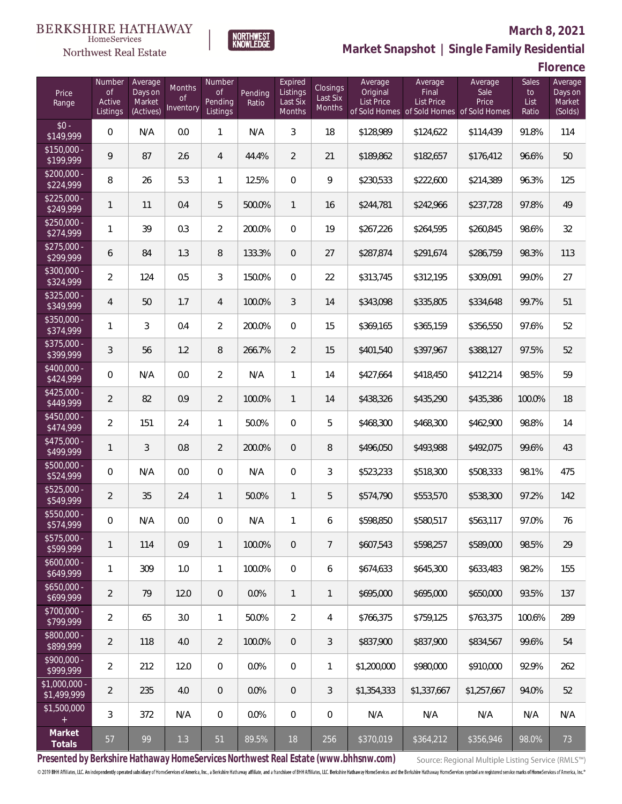#### **BERKSHIRE HATHAWAY** HomeServices





## **March 8, 2021 Market Snapshot | Single Family Residential**

**Florence**

| Price<br>Range                | Number<br><b>of</b><br>Active<br>Listings | Average<br>Days on<br>Market<br>(Actives) | Months<br>0f<br>Inventory | Number<br><b>of</b><br>Pending<br>Listings | Pending<br>Ratio | Expired<br>Listings<br>Last Six<br>Months | <b>Closings</b><br>Last Six<br>Months | Average<br>Original<br><b>List Price</b> | Average<br>Final<br>List Price<br>of Sold Homes of Sold Homes of Sold Homes | Average<br>Sale<br>Price | Sales<br>to<br>List<br>Ratio | Average<br>Days on<br>Market<br>(Solds) |
|-------------------------------|-------------------------------------------|-------------------------------------------|---------------------------|--------------------------------------------|------------------|-------------------------------------------|---------------------------------------|------------------------------------------|-----------------------------------------------------------------------------|--------------------------|------------------------------|-----------------------------------------|
| $$0 -$<br>\$149,999           | 0                                         | N/A                                       | 0.0                       | $\mathbf{1}$                               | N/A              | 3                                         | 18                                    | \$128,989                                | \$124,622                                                                   | \$114,439                | 91.8%                        | 114                                     |
| $$150,000 -$<br>\$199,999     | 9                                         | 87                                        | 2.6                       | 4                                          | 44.4%            | $\overline{2}$                            | 21                                    | \$189,862                                | \$182,657                                                                   | \$176,412                | 96.6%                        | 50                                      |
| $$200,000 -$<br>\$224,999     | 8                                         | 26                                        | 5.3                       | $\mathbf{1}$                               | 12.5%            | $\overline{0}$                            | 9                                     | \$230,533                                | \$222,600                                                                   | \$214,389                | 96.3%                        | 125                                     |
| $$225,000 -$<br>\$249,999     | 1                                         | 11                                        | 0.4                       | 5                                          | 500.0%           | $\mathbf{1}$                              | 16                                    | \$244,781                                | \$242,966                                                                   | \$237,728                | 97.8%                        | 49                                      |
| $$250,000 -$<br>\$274,999     | 1                                         | 39                                        | 0.3                       | $\overline{2}$                             | 200.0%           | $\overline{0}$                            | 19                                    | \$267,226                                | \$264,595                                                                   | \$260,845                | 98.6%                        | 32                                      |
| $$275,000 -$<br>\$299,999     | 6                                         | 84                                        | 1.3                       | $\, 8$                                     | 133.3%           | $\overline{0}$                            | 27                                    | \$287,874                                | \$291,674                                                                   | \$286,759                | 98.3%                        | 113                                     |
| $$300,000 -$<br>\$324,999     | $\overline{2}$                            | 124                                       | 0.5                       | 3                                          | 150.0%           | $\overline{0}$                            | 22                                    | \$313,745                                | \$312,195                                                                   | \$309,091                | 99.0%                        | 27                                      |
| $$325,000 -$<br>\$349,999     | $\overline{4}$                            | 50                                        | 1.7                       | 4                                          | 100.0%           | 3                                         | 14                                    | \$343,098                                | \$335,805                                                                   | \$334,648                | 99.7%                        | 51                                      |
| \$350,000 -<br>\$374,999      | 1                                         | 3                                         | 0.4                       | $\overline{2}$                             | 200.0%           | $\overline{0}$                            | 15                                    | \$369,165                                | \$365,159                                                                   | \$356,550                | 97.6%                        | 52                                      |
| $$375,000 -$<br>\$399,999     | 3                                         | 56                                        | 1.2                       | $\, 8$                                     | 266.7%           | $\overline{2}$                            | 15                                    | \$401,540                                | \$397,967                                                                   | \$388,127                | 97.5%                        | 52                                      |
| $$400,000 -$<br>\$424,999     | 0                                         | N/A                                       | 0.0                       | $\overline{2}$                             | N/A              | $\mathbf{1}$                              | 14                                    | \$427,664                                | \$418,450                                                                   | \$412,214                | 98.5%                        | 59                                      |
| $$425,000 -$<br>\$449,999     | $\overline{2}$                            | 82                                        | 0.9                       | $\overline{2}$                             | 100.0%           | $\mathbf{1}$                              | 14                                    | \$438,326                                | \$435,290                                                                   | \$435,386                | 100.0%                       | 18                                      |
| \$450,000 -<br>\$474,999      | $\overline{2}$                            | 151                                       | 2.4                       | $\mathbf{1}$                               | 50.0%            | $\overline{0}$                            | 5                                     | \$468,300                                | \$468,300                                                                   | \$462,900                | 98.8%                        | 14                                      |
| $$475,000 -$<br>\$499,999     | 1                                         | 3                                         | 0.8                       | $\overline{2}$                             | 200.0%           | $\overline{0}$                            | 8                                     | \$496,050                                | \$493,988                                                                   | \$492,075                | 99.6%                        | 43                                      |
| $$500,000 -$<br>\$524,999     | 0                                         | N/A                                       | 0.0                       | $\overline{0}$                             | N/A              | $\overline{0}$                            | $\mathfrak{Z}$                        | \$523,233                                | \$518,300                                                                   | \$508,333                | 98.1%                        | 475                                     |
| $$525,000 -$<br>\$549,999     | $\overline{2}$                            | 35                                        | 2.4                       | $\mathbf{1}$                               | 50.0%            | $\mathbf{1}$                              | 5                                     | \$574,790                                | \$553,570                                                                   | \$538,300                | 97.2%                        | 142                                     |
| \$550,000 -<br>\$574,999      | 0                                         | N/A                                       | $0.0\,$                   | $\mathbf{0}$                               | N/A              | 1                                         | 6                                     | \$598,850                                | \$580,517                                                                   | \$563,117                | 97.0%                        | 76                                      |
| $$575,000 -$<br>\$599,999     | 1                                         | 114                                       | 0.9                       | $\mathbf{1}$                               | 100.0%           | $\overline{0}$                            | $\overline{7}$                        | \$607.543                                | \$598,257                                                                   | \$589.000                | 98.5%                        | 29                                      |
| $$600,000 -$<br>\$649,999     | 1                                         | 309                                       | 1.0                       | $\mathbf{1}$                               | 100.0%           | $\overline{0}$                            | 6                                     | \$674,633                                | \$645,300                                                                   | \$633,483                | 98.2%                        | 155                                     |
| $$650,000 -$<br>\$699,999     | $\overline{2}$                            | 79                                        | 12.0                      | $\overline{0}$                             | 0.0%             | $\mathbf{1}$                              | $\mathbf{1}$                          | \$695,000                                | \$695,000                                                                   | \$650,000                | 93.5%                        | 137                                     |
| $$700,000 -$<br>\$799,999     | $\overline{2}$                            | 65                                        | 3.0                       | $\mathbf{1}$                               | 50.0%            | $\overline{2}$                            | 4                                     | \$766,375                                | \$759,125                                                                   | \$763,375                | 100.6%                       | 289                                     |
| $$800,000 -$<br>\$899,999     | $\overline{2}$                            | 118                                       | 4.0                       | $\overline{2}$                             | 100.0%           | $\overline{0}$                            | $\mathfrak{Z}$                        | \$837,900                                | \$837.900                                                                   | \$834,567                | 99.6%                        | 54                                      |
| $$900,000 -$<br>\$999,999     | $\overline{2}$                            | 212                                       | 12.0                      | $\overline{0}$                             | 0.0%             | $\overline{0}$                            | $\mathbf{1}$                          | \$1,200,000                              | \$980,000                                                                   | \$910,000                | 92.9%                        | 262                                     |
| $$1,000,000 -$<br>\$1,499,999 | $\overline{2}$                            | 235                                       | 4.0                       | $\overline{0}$                             | 0.0%             | $\overline{0}$                            | $\mathfrak{Z}$                        | \$1,354,333                              | \$1,337,667                                                                 | \$1,257,667              | 94.0%                        | 52                                      |
| \$1,500,000<br>$+$            | 3                                         | 372                                       | N/A                       | $\boldsymbol{0}$                           | 0.0%             | $\mathbf{0}$                              | $\mathbf 0$                           | N/A                                      | N/A                                                                         | N/A                      | N/A                          | N/A                                     |
| Market<br>Totals              | 57                                        | 99                                        | 1.3                       | 51                                         | 89.5%            | 18                                        | 256                                   | \$370,019                                | \$364,212                                                                   | \$356,946                | 98.0%                        | 73                                      |

**Presented by Berkshire Hathaway HomeServices Northwest Real Estate (www.bhhsnw.com)**

Source: Regional Multiple Listing Service (RMLS™)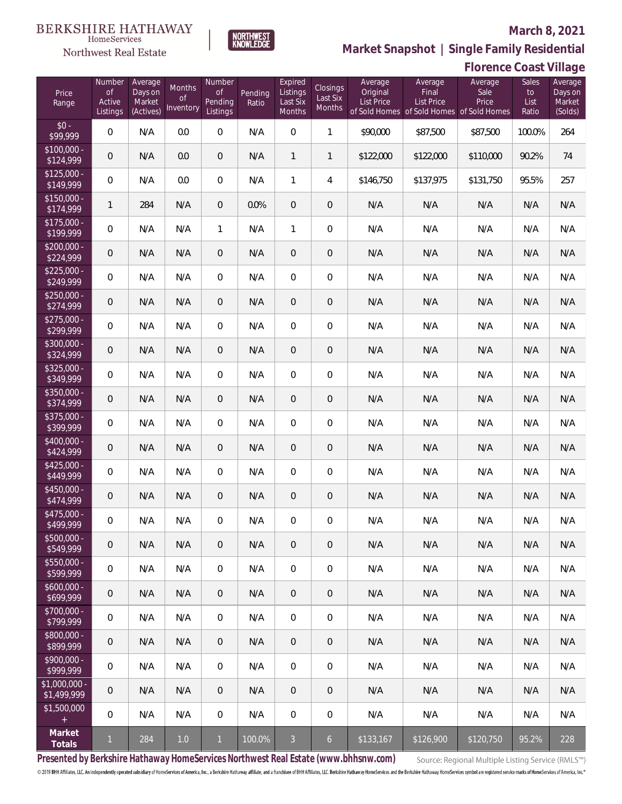

NORTHWEST<br>KNOWLEDGE

Northwest Real Estate

**Market Snapshot | Single Family Residential**

|                                   |                     |                     |                 |                     |         |                     |                    |                     |                                                                | <b>Florence Coast Village</b> |               |                    |
|-----------------------------------|---------------------|---------------------|-----------------|---------------------|---------|---------------------|--------------------|---------------------|----------------------------------------------------------------|-------------------------------|---------------|--------------------|
| Price                             | Number<br><b>of</b> | Average<br>Days on  | Months          | Number<br>Οf        | Pending | Expired<br>Listings | Closings           | Average<br>Original | Average<br>Final                                               | Average<br>Sale               | Sales<br>to   | Average<br>Days on |
| Range                             | Active<br>Listings  | Market<br>(Actives) | Οf<br>Inventory | Pending<br>Listings | Ratio   | Last Six<br>Months  | Last Six<br>Months | <b>List Price</b>   | <b>List Price</b><br>of Sold Homes of Sold Homes of Sold Homes | Price                         | List<br>Ratio | Market<br>(Solds)  |
| $$0 -$<br>\$99,999                | 0                   | N/A                 | 0.0             | $\overline{0}$      | N/A     | $\overline{0}$      | $\mathbf{1}$       | \$90,000            | \$87,500                                                       | \$87,500                      | 100.0%        | 264                |
| $$100,000 -$<br>$\sqrt{$124,999}$ | 0                   | N/A                 | 0.0             | $\overline{0}$      | N/A     | $\mathbf{1}$        | $\mathbf{1}$       | \$122,000           | \$122,000                                                      | \$110,000                     | 90.2%         | 74                 |
| $$125,000 -$<br>$\sqrt{$149,999}$ | 0                   | N/A                 | 0.0             | $\overline{0}$      | N/A     | $\mathbf{1}$        | 4                  | \$146,750           | \$137,975                                                      | \$131,750                     | 95.5%         | 257                |
| $$150,000 -$<br>\$174,999         | 1                   | 284                 | N/A             | $\overline{0}$      | 0.0%    | $\overline{0}$      | $\mathbf 0$        | N/A                 | N/A                                                            | N/A                           | N/A           | N/A                |
| $$175,000 -$<br>\$199,999         | 0                   | N/A                 | N/A             | $\mathbf{1}$        | N/A     | 1                   | 0                  | N/A                 | N/A                                                            | N/A                           | N/A           | N/A                |
| $$200,000 -$<br>\$224,999         | 0                   | N/A                 | N/A             | $\overline{0}$      | N/A     | $\theta$            | 0                  | N/A                 | N/A                                                            | N/A                           | N/A           | N/A                |
| $$225,000 -$<br>\$249,999         | 0                   | N/A                 | N/A             | $\overline{0}$      | N/A     | $\mathbf{0}$        | 0                  | N/A                 | N/A                                                            | N/A                           | N/A           | N/A                |
| $$250,000 -$<br>\$274,999         | 0                   | N/A                 | N/A             | $\overline{0}$      | N/A     | $\overline{0}$      | 0                  | N/A                 | N/A                                                            | N/A                           | N/A           | N/A                |
| $$275,000 -$<br>\$299,999         | 0                   | N/A                 | N/A             | $\overline{0}$      | N/A     | $\mathbf{0}$        | 0                  | N/A                 | N/A                                                            | N/A                           | N/A           | N/A                |
| $$300,000 -$<br>\$324,999         | 0                   | N/A                 | N/A             | $\overline{0}$      | N/A     | $\overline{0}$      | 0                  | N/A                 | N/A                                                            | N/A                           | N/A           | N/A                |
| $$325,000 -$<br>\$349,999         | 0                   | N/A                 | N/A             | $\overline{0}$      | N/A     | $\overline{0}$      | 0                  | N/A                 | N/A                                                            | N/A                           | N/A           | N/A                |
| $$350,000 -$<br>\$374,999         | 0                   | N/A                 | N/A             | $\overline{0}$      | N/A     | $\mathbf{0}$        | 0                  | N/A                 | N/A                                                            | N/A                           | N/A           | N/A                |
| $$375,000 -$<br>\$399,999         | 0                   | N/A                 | N/A             | $\overline{0}$      | N/A     | $\overline{0}$      | 0                  | N/A                 | N/A                                                            | N/A                           | N/A           | N/A                |
| \$400,000 -<br>\$424,999          | 0                   | N/A                 | N/A             | $\overline{0}$      | N/A     | $\mathbf{0}$        | 0                  | N/A                 | N/A                                                            | N/A                           | N/A           | N/A                |
| $$425,000 -$<br>\$449,999         | 0                   | N/A                 | N/A             | $\overline{0}$      | N/A     | $\boldsymbol{0}$    | 0                  | N/A                 | N/A                                                            | N/A                           | N/A           | N/A                |
| \$450,000 -<br>\$474,999          | 0                   | N/A                 | N/A             | $\overline{0}$      | N/A     | $\mathbf 0$         | 0                  | N/A                 | N/A                                                            | N/A                           | N/A           | N/A                |
| $$475.000 -$<br>\$499,999         | 0                   | N/A                 | N/A             | $\overline{0}$      | N/A     | $\mathbf{0}$        | 0                  | N/A                 | N/A                                                            | N/A                           | N/A           | N/A                |
| \$500,000 -<br>\$549,999          | 0                   | N/A                 | N/A             | $\overline{0}$      | N/A     | $\overline{0}$      | 0                  | N/A                 | N/A                                                            | N/A                           | N/A           | N/A                |
| $$550,000 -$<br>\$599,999         | 0                   | N/A                 | N/A             | $\overline{0}$      | N/A     | $\mathbf{0}$        | 0                  | N/A                 | N/A                                                            | N/A                           | N/A           | N/A                |
| $$600,000 -$<br>\$699,999         | 0                   | N/A                 | N/A             | $\overline{0}$      | N/A     | $\overline{0}$      | 0                  | N/A                 | N/A                                                            | N/A                           | N/A           | N/A                |
| \$700,000 -<br>\$799,999          | $\mathbf 0$         | N/A                 | N/A             | $\overline{0}$      | N/A     | $\overline{0}$      | 0                  | N/A                 | N/A                                                            | N/A                           | N/A           | N/A                |
| \$800,000 -<br>\$899,999          | 0                   | N/A                 | N/A             | $\overline{0}$      | N/A     | $\overline{0}$      | 0                  | N/A                 | N/A                                                            | N/A                           | N/A           | N/A                |
| \$900,000 -<br>\$999,999          | $\mathbf 0$         | N/A                 | N/A             | $\overline{0}$      | N/A     | $\overline{0}$      | 0                  | N/A                 | N/A                                                            | N/A                           | N/A           | N/A                |
| $$1,000,000 -$<br>\$1,499,999     | 0                   | N/A                 | N/A             | $\overline{0}$      | N/A     | $\overline{0}$      | 0                  | N/A                 | N/A                                                            | N/A                           | N/A           | N/A                |
| \$1,500,000<br>$+$                | $\mathbf 0$         | N/A                 | N/A             | $\mathbf 0$         | N/A     | $\overline{0}$      | 0                  | N/A                 | N/A                                                            | N/A                           | N/A           | N/A                |
| Market<br>Totals                  | $\mathbf{1}$        | 284                 | $1.0\,$         | $\mathbf{1}$        | 100.0%  | 3 <sup>1</sup>      | 6 <sup>1</sup>     | \$133,167           | \$126,900                                                      | \$120,750                     | 95.2%         | 228                |

**Presented by Berkshire Hathaway HomeServices Northwest Real Estate (www.bhhsnw.com)**

Source: Regional Multiple Listing Service (RMLS™)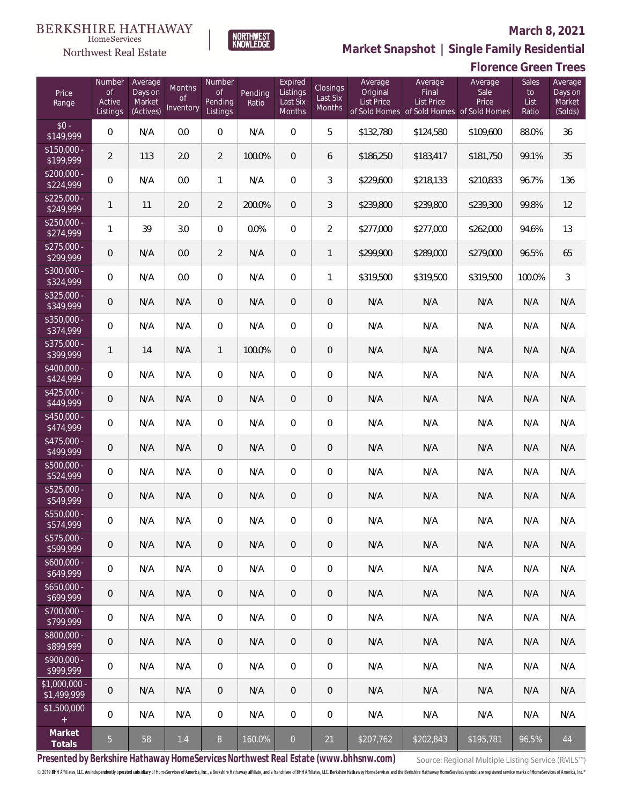

NORTHWEST<br>KNOWLEDGE

Northwest Real Estate

**Market Snapshot | Single Family Residential**

# **Florence Green Trees**

| Price<br>Range               | Number<br>of<br>Active<br>Listings | Average<br>Days on<br>Market<br>(Actives) | <b>Months</b><br><b>of</b><br>Inventory | Number<br>Οf<br>Pending<br>Listings | Pending<br>Ratio | Expired<br>Listings<br>Last Six<br>Months | <b>Closings</b><br>Last Six<br>Months | Average<br>Original<br>List Price | Average<br>Final<br>List Price<br>of Sold Homes of Sold Homes of Sold Homes | Average<br>Sale<br>Price | Sales<br>to<br>List<br>Ratio | Average<br>Days on<br>Market<br>(Solds) |
|------------------------------|------------------------------------|-------------------------------------------|-----------------------------------------|-------------------------------------|------------------|-------------------------------------------|---------------------------------------|-----------------------------------|-----------------------------------------------------------------------------|--------------------------|------------------------------|-----------------------------------------|
| $$0 -$<br>\$149,999          | $\overline{0}$                     | N/A                                       | 0.0                                     | $\overline{0}$                      | N/A              | $\Omega$                                  | 5                                     | \$132,780                         | \$124,580                                                                   | \$109,600                | 88.0%                        | 36                                      |
| $$150,000 -$<br>\$199,999    | $\overline{2}$                     | 113                                       | 2.0                                     | $\overline{2}$                      | 100.0%           | $\overline{0}$                            | 6                                     | \$186,250                         | \$183,417                                                                   | \$181,750                | 99.1%                        | 35                                      |
| $$200,000 -$<br>\$224,999    | $\overline{0}$                     | N/A                                       | 0.0                                     | $\mathbf{1}$                        | N/A              | $\overline{0}$                            | $\mathfrak{Z}$                        | \$229,600                         | \$218,133                                                                   | \$210,833                | 96.7%                        | 136                                     |
| $$225,000 -$<br>\$249,999    | 1                                  | 11                                        | 2.0                                     | $\overline{2}$                      | 200.0%           | $\overline{0}$                            | 3                                     | \$239,800                         | \$239,800                                                                   | \$239,300                | 99.8%                        | 12                                      |
| $$250,000 -$<br>\$274,999    | 1                                  | 39                                        | 3.0                                     | $\overline{0}$                      | 0.0%             | $\Omega$                                  | $\overline{2}$                        | \$277,000                         | \$277,000                                                                   | \$262,000                | 94.6%                        | 13                                      |
| $$275,000 -$<br>\$299,999    | 0                                  | N/A                                       | 0.0                                     | $\overline{2}$                      | N/A              | $\overline{0}$                            | 1                                     | \$299,900                         | \$289,000                                                                   | \$279,000                | 96.5%                        | 65                                      |
| $$300,000 -$<br>\$324,999    | $\overline{0}$                     | N/A                                       | 0.0                                     | $\overline{0}$                      | N/A              | $\overline{0}$                            | 1                                     | \$319,500                         | \$319,500                                                                   | \$319,500                | 100.0%                       | 3                                       |
| $$325,000 -$<br>\$349,999    | 0                                  | N/A                                       | N/A                                     | $\overline{0}$                      | N/A              | $\overline{0}$                            | $\overline{0}$                        | N/A                               | N/A                                                                         | N/A                      | N/A                          | N/A                                     |
| $$350,000 -$<br>\$374,999    | $\overline{0}$                     | N/A                                       | N/A                                     | $\overline{0}$                      | N/A              | $\Omega$                                  | $\overline{0}$                        | N/A                               | N/A                                                                         | N/A                      | N/A                          | N/A                                     |
| $$375,000 -$<br>\$399,999    | 1                                  | 14                                        | N/A                                     | $\mathbf{1}$                        | 100.0%           | $\Omega$                                  | $\overline{0}$                        | N/A                               | N/A                                                                         | N/A                      | N/A                          | N/A                                     |
| $$400,000 -$<br>\$424,999    | 0                                  | N/A                                       | N/A                                     | $\overline{0}$                      | N/A              | $\Omega$                                  | $\overline{0}$                        | N/A                               | N/A                                                                         | N/A                      | N/A                          | N/A                                     |
| $$425,000 -$<br>\$449,999    | 0                                  | N/A                                       | N/A                                     | $\overline{0}$                      | N/A              | $\overline{0}$                            | $\overline{0}$                        | N/A                               | N/A                                                                         | N/A                      | N/A                          | N/A                                     |
| \$450,000 -<br>\$474,999     | $\overline{0}$                     | N/A                                       | N/A                                     | $\overline{0}$                      | N/A              | $\Omega$                                  | $\overline{0}$                        | N/A                               | N/A                                                                         | N/A                      | N/A                          | N/A                                     |
| $$475,000 -$<br>\$499,999    | $\mathbf 0$                        | N/A                                       | N/A                                     | $\overline{0}$                      | N/A              | $\overline{0}$                            | $\overline{0}$                        | N/A                               | N/A                                                                         | N/A                      | N/A                          | N/A                                     |
| $$500,000 -$<br>\$524,999    | $\boldsymbol{0}$                   | N/A                                       | N/A                                     | $\overline{0}$                      | N/A              | $\Omega$                                  | $\overline{0}$                        | N/A                               | N/A                                                                         | N/A                      | N/A                          | N/A                                     |
| \$525,000 -<br>\$549,999     | 0                                  | N/A                                       | N/A                                     | $\overline{0}$                      | N/A              | $\overline{0}$                            | $\mathbf 0$                           | N/A                               | N/A                                                                         | N/A                      | N/A                          | N/A                                     |
| $$550,000 -$<br>\$574,999    | 0                                  | N/A                                       | N/A                                     | $\overline{0}$                      | N/A              | 0                                         | $\mathbf 0$                           | N/A                               | N/A                                                                         | N/A                      | N/A                          | N/A                                     |
| $$575,000 -$<br>\$599,999    | 0                                  | N/A                                       | N/A                                     | $\theta$                            | N/A              | $\mathbf 0$                               | $\theta$                              | N/A                               | N/A                                                                         | N/A                      | N/A                          | N/A                                     |
| $$600,000 -$<br>\$649,999    | $\boldsymbol{0}$                   | N/A                                       | N/A                                     | $\boldsymbol{0}$                    | N/A              | $\boldsymbol{0}$                          | $\mathbf 0$                           | N/A                               | N/A                                                                         | N/A                      | N/A                          | N/A                                     |
| $$650,000 -$<br>\$699,999    | $\mathbf 0$                        | N/A                                       | N/A                                     | $\overline{0}$                      | N/A              | $\overline{0}$                            | $\theta$                              | N/A                               | N/A                                                                         | N/A                      | N/A                          | N/A                                     |
| $$700,000 -$<br>\$799,999    | $\boldsymbol{0}$                   | N/A                                       | N/A                                     | $\boldsymbol{0}$                    | N/A              | $\boldsymbol{0}$                          | $\mathbf 0$                           | N/A                               | N/A                                                                         | N/A                      | N/A                          | N/A                                     |
| $$800,000 -$<br>\$899,999    | $\mathbf 0$                        | N/A                                       | N/A                                     | $\overline{0}$                      | N/A              | $\overline{0}$                            | $\theta$                              | N/A                               | N/A                                                                         | N/A                      | N/A                          | N/A                                     |
| $$900,000 -$<br>\$999,999    | $\boldsymbol{0}$                   | N/A                                       | N/A                                     | $\boldsymbol{0}$                    | N/A              | $\boldsymbol{0}$                          | $\mathbf 0$                           | N/A                               | N/A                                                                         | N/A                      | N/A                          | N/A                                     |
| \$1,000,000 -<br>\$1,499,999 | $\mathbf 0$                        | N/A                                       | N/A                                     | $\overline{0}$                      | N/A              | $\overline{0}$                            | $\mathbf 0$                           | N/A                               | N/A                                                                         | N/A                      | N/A                          | N/A                                     |
| \$1,500,000<br>$\pm$         | $\mathbf 0$                        | N/A                                       | N/A                                     | 0                                   | N/A              | 0                                         | $\mathbf 0$                           | N/A                               | N/A                                                                         | N/A                      | N/A                          | N/A                                     |
| Market<br>Totals             | $\overline{5}$                     | 58                                        | 1.4                                     | $8\,$                               | 160.0%           | $\overline{0}$                            | 21                                    | \$207,762                         | \$202,843                                                                   | \$195,781                | 96.5%                        | $44\,$                                  |

**Presented by Berkshire Hathaway HomeServices Northwest Real Estate (www.bhhsnw.com)**

Source: Regional Multiple Listing Service (RMLS™)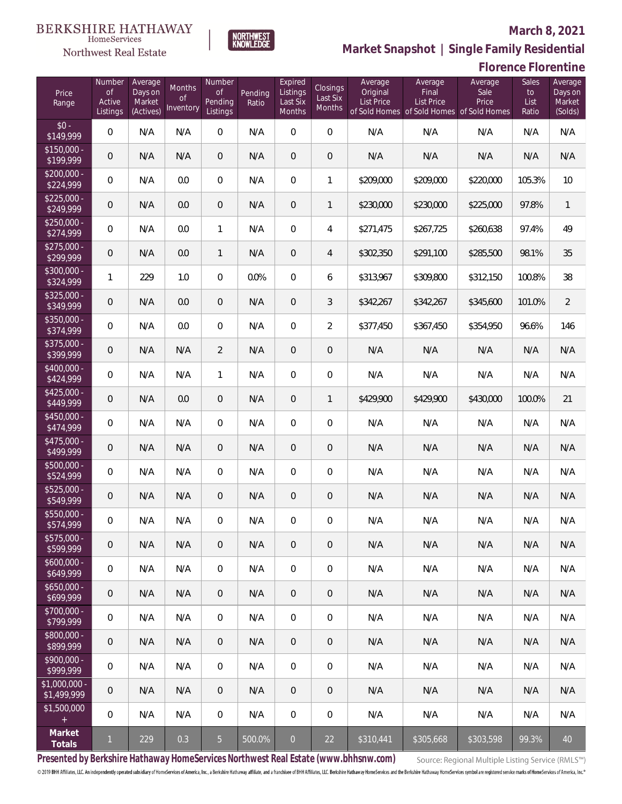**Florence Florentine**



**Market Snapshot | Single Family Residential**

#### **BERKSHIRE HATHAWAY**  $\label{lem:sevices} \textsc{Home} \textsc{Service} \textsc{s}$ Northwest Real Estate

| Price<br>Range               | Number<br><b>of</b><br>Active<br>Listings | Average<br>Days on<br>Market<br>(Actives) | Months<br><b>of</b><br>Inventory | Number<br>$\mathsf{of}$<br>Pending<br>Listings | Pending<br>Ratio | Expired<br>Listings<br>Last Six<br>Months | Closings<br>Last Six<br>Months | Average<br>Original<br><b>List Price</b> | Average<br>Final<br>List Price | Average<br>Sale<br>Price<br>of Sold Homes of Sold Homes of Sold Homes | Sales<br>to<br>List<br>Ratio | Average<br>Days on<br>Market<br>(Solds) |
|------------------------------|-------------------------------------------|-------------------------------------------|----------------------------------|------------------------------------------------|------------------|-------------------------------------------|--------------------------------|------------------------------------------|--------------------------------|-----------------------------------------------------------------------|------------------------------|-----------------------------------------|
| $$0 -$<br>\$149,999          | $\overline{0}$                            | N/A                                       | N/A                              | $\overline{0}$                                 | N/A              | 0                                         | $\overline{0}$                 | N/A                                      | N/A                            | N/A                                                                   | N/A                          | N/A                                     |
| $$150,000 -$<br>\$199,999    | $\overline{0}$                            | N/A                                       | N/A                              | $\overline{0}$                                 | N/A              | 0                                         | 0                              | N/A                                      | N/A                            | N/A                                                                   | N/A                          | N/A                                     |
| $$200,000 -$<br>\$224,999    | $\mathbf 0$                               | N/A                                       | 0.0                              | $\mathbf 0$                                    | N/A              | 0                                         | 1                              | \$209,000                                | \$209,000                      | \$220,000                                                             | 105.3%                       | 10                                      |
| $$225,000 -$<br>\$249,999    | $\overline{0}$                            | N/A                                       | 0.0                              | $\mathbf 0$                                    | N/A              | 0                                         | $\mathbf{1}$                   | \$230,000                                | \$230,000                      | \$225,000                                                             | 97.8%                        | $\mathbf{1}$                            |
| $$250,000 -$<br>\$274,999    | $\mathbf 0$                               | N/A                                       | 0.0                              | $\mathbf{1}$                                   | N/A              | 0                                         | 4                              | \$271,475                                | \$267,725                      | \$260,638                                                             | 97.4%                        | 49                                      |
| $$275,000 -$<br>\$299,999    | $\overline{0}$                            | N/A                                       | 0.0                              | $\mathbf{1}$                                   | N/A              | 0                                         | 4                              | \$302,350                                | \$291,100                      | \$285,500                                                             | 98.1%                        | 35                                      |
| $$300,000 -$<br>\$324,999    | $\mathbf{1}$                              | 229                                       | 1.0                              | $\overline{0}$                                 | 0.0%             | 0                                         | 6                              | \$313,967                                | \$309,800                      | \$312,150                                                             | 100.8%                       | 38                                      |
| $$325,000 -$<br>\$349,999    | $\overline{0}$                            | N/A                                       | 0.0                              | $\theta$                                       | N/A              | 0                                         | 3                              | \$342,267                                | \$342,267                      | \$345,600                                                             | 101.0%                       | $\overline{2}$                          |
| $$350,000 -$<br>\$374,999    | $\mathbf 0$                               | N/A                                       | 0.0                              | $\boldsymbol{0}$                               | N/A              | 0                                         | $\overline{2}$                 | \$377,450                                | \$367,450                      | \$354,950                                                             | 96.6%                        | 146                                     |
| \$375,000 -<br>\$399,999     | $\overline{0}$                            | N/A                                       | N/A                              | $\overline{2}$                                 | N/A              | 0                                         | $\mathbf 0$                    | N/A                                      | N/A                            | N/A                                                                   | N/A                          | N/A                                     |
| $$400,000 -$<br>\$424,999    | $\mathbf 0$                               | N/A                                       | N/A                              | $\mathbf{1}$                                   | N/A              | 0                                         | $\boldsymbol{0}$               | N/A                                      | N/A                            | N/A                                                                   | N/A                          | N/A                                     |
| $$425,000 -$<br>\$449,999    | $\overline{0}$                            | N/A                                       | 0.0                              | $\overline{0}$                                 | N/A              | 0                                         | $\mathbf{1}$                   | \$429,900                                | \$429,900                      | \$430,000                                                             | 100.0%                       | 21                                      |
| $$450,000 -$<br>\$474,999    | $\mathbf 0$                               | N/A                                       | N/A                              | $\overline{0}$                                 | N/A              | 0                                         | $\boldsymbol{0}$               | N/A                                      | N/A                            | N/A                                                                   | N/A                          | N/A                                     |
| $$475,000 -$<br>\$499,999    | $\overline{0}$                            | N/A                                       | N/A                              | $\overline{0}$                                 | N/A              | 0                                         | $\mathbf 0$                    | N/A                                      | N/A                            | N/A                                                                   | N/A                          | N/A                                     |
| \$500,000 -<br>\$524,999     | $\mathbf 0$                               | N/A                                       | N/A                              | $\boldsymbol{0}$                               | N/A              | 0                                         | $\boldsymbol{0}$               | N/A                                      | N/A                            | N/A                                                                   | N/A                          | N/A                                     |
| \$525,000 -<br>\$549,999     | $\theta$                                  | N/A                                       | N/A                              | $\mathbf 0$                                    | N/A              | 0                                         | $\mathbf 0$                    | N/A                                      | N/A                            | N/A                                                                   | N/A                          | N/A                                     |
| \$550,000 -<br>\$574,999     | $\mathbf 0$                               | N/A                                       | N/A                              | 0                                              | N/A              | 0                                         | $\boldsymbol{0}$               | N/A                                      | N/A                            | N/A                                                                   | N/A                          | N/A                                     |
| $$575,000 -$<br>\$599,999    | $\theta$                                  | N/A                                       | N/A                              | 0                                              | N/A              | 0                                         | $\overline{0}$                 | N/A                                      | N/A                            | N/A                                                                   | N/A                          | N/A                                     |
| $$600,000 -$<br>\$649,999    | $\mathbb O$                               | N/A                                       | N/A                              | 0                                              | N/A              | 0                                         | $\overline{0}$                 | N/A                                      | N/A                            | N/A                                                                   | N/A                          | N/A                                     |
| $$650,000 -$<br>\$699,999    | $\overline{0}$                            | N/A                                       | N/A                              | $\theta$                                       | N/A              | 0                                         | $\overline{0}$                 | N/A                                      | N/A                            | N/A                                                                   | N/A                          | N/A                                     |
| \$700,000 -<br>\$799,999     | $\mathbb O$                               | N/A                                       | N/A                              | $\boldsymbol{0}$                               | N/A              | 0                                         | $\overline{0}$                 | N/A                                      | N/A                            | N/A                                                                   | N/A                          | N/A                                     |
| \$800,000 -<br>\$899,999     | $\theta$                                  | N/A                                       | N/A                              | $\theta$                                       | N/A              | 0                                         | $\mathbf 0$                    | N/A                                      | N/A                            | N/A                                                                   | N/A                          | N/A                                     |
| \$900,000 -<br>\$999,999     | $\mathbb O$                               | N/A                                       | N/A                              | 0                                              | N/A              | 0                                         | $\overline{0}$                 | N/A                                      | N/A                            | N/A                                                                   | N/A                          | N/A                                     |
| \$1,000,000 -<br>\$1,499,999 | $\overline{0}$                            | N/A                                       | N/A                              | $\mathbf 0$                                    | N/A              | 0                                         | $\mathbf 0$                    | N/A                                      | N/A                            | N/A                                                                   | N/A                          | N/A                                     |
| \$1,500,000<br>$\pm$         | $\mathbf 0$                               | N/A                                       | N/A                              | 0                                              | N/A              | $\overline{0}$                            | 0                              | N/A                                      | N/A                            | N/A                                                                   | N/A                          | N/A                                     |
| Market<br>Totals             | $\mathbf{1}$                              | 229                                       | 0.3                              | 5 <sub>1</sub>                                 | 500.0%           | $\overline{0}$                            | 22                             | \$310,441                                | \$305,668                      | \$303,598                                                             | 99.3%                        | 40                                      |

**Presented by Berkshire Hathaway HomeServices Northwest Real Estate (www.bhhsnw.com)**

Source: Regional Multiple Listing Service (RMLS™)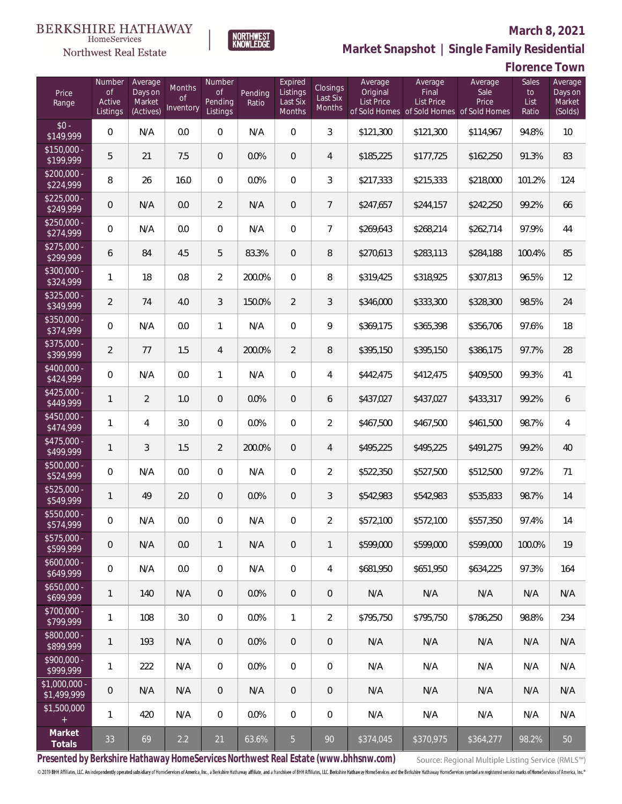

Northwest Real Estate

# **Market Snapshot | Single Family Residential**

| Price<br>Range               | Number<br><b>of</b><br>Active<br>Listings | Average<br>Days on<br>Market<br>(Actives) | Months<br><b>of</b><br>Inventory | Number<br><b>of</b><br>Pending<br>Listings | Pending<br>Ratio | Expired<br>Listings<br>Last Six<br>Months | <b>Closings</b><br>Last Six<br>Months | Average<br>Original<br><b>List Price</b> | Average<br>Final<br><b>List Price</b><br>of Sold Homes of Sold Homes of Sold Homes | Average<br>Sale<br>Price | Sales<br>to<br>List<br>Ratio | Average<br>Days on<br>Market<br>(Solds) |
|------------------------------|-------------------------------------------|-------------------------------------------|----------------------------------|--------------------------------------------|------------------|-------------------------------------------|---------------------------------------|------------------------------------------|------------------------------------------------------------------------------------|--------------------------|------------------------------|-----------------------------------------|
| $$0 -$<br>$\sqrt{$149,999}$  | $\overline{0}$                            | N/A                                       | 0.0                              | $\overline{0}$                             | N/A              | $\overline{0}$                            | $\mathfrak{Z}$                        | \$121,300                                | \$121,300                                                                          | \$114,967                | 94.8%                        | 10                                      |
| $$150,000 -$<br>\$199,999    | 5                                         | 21                                        | 7.5                              | $\overline{0}$                             | 0.0%             | $\overline{0}$                            | $\overline{4}$                        | \$185,225                                | \$177,725                                                                          | \$162,250                | 91.3%                        | 83                                      |
| $$200,000 -$<br>\$224,999    | 8                                         | 26                                        | 16.0                             | $\overline{0}$                             | 0.0%             | $\overline{0}$                            | 3                                     | \$217,333                                | \$215,333                                                                          | \$218,000                | 101.2%                       | 124                                     |
| $$225,000 -$<br>\$249,999    | $\overline{0}$                            | N/A                                       | 0.0                              | $\overline{2}$                             | N/A              | $\overline{0}$                            | $\overline{7}$                        | \$247,657                                | \$244,157                                                                          | \$242,250                | 99.2%                        | 66                                      |
| $$250,000 -$<br>\$274,999    | $\overline{0}$                            | N/A                                       | 0.0                              | $\overline{0}$                             | N/A              | $\overline{0}$                            | $\overline{7}$                        | \$269,643                                | \$268,214                                                                          | \$262,714                | 97.9%                        | 44                                      |
| $$275,000 -$<br>\$299,999    | 6                                         | 84                                        | 4.5                              | 5                                          | 83.3%            | $\overline{0}$                            | 8                                     | \$270,613                                | \$283,113                                                                          | \$284,188                | 100.4%                       | 85                                      |
| $$300,000 -$<br>\$324,999    | 1                                         | 18                                        | 0.8                              | $\overline{2}$                             | 200.0%           | $\overline{0}$                            | 8                                     | \$319,425                                | \$318,925                                                                          | \$307,813                | 96.5%                        | 12                                      |
| $$325,000 -$<br>\$349,999    | $\overline{2}$                            | 74                                        | 4.0                              | $\mathfrak{Z}$                             | 150.0%           | $\overline{2}$                            | 3                                     | \$346,000                                | \$333,300                                                                          | \$328,300                | 98.5%                        | 24                                      |
| $$350,000 -$<br>\$374,999    | $\overline{0}$                            | N/A                                       | 0.0                              | $\mathbf{1}$                               | N/A              | $\mathbf 0$                               | 9                                     | \$369,175                                | \$365,398                                                                          | \$356,706                | 97.6%                        | 18                                      |
| $$375,000 -$<br>\$399,999    | $\overline{a}$                            | 77                                        | 1.5                              | 4                                          | 200.0%           | $\overline{2}$                            | 8                                     | \$395,150                                | \$395,150                                                                          | \$386,175                | 97.7%                        | 28                                      |
| $$400,000 -$<br>\$424,999    | $\overline{0}$                            | N/A                                       | 0.0                              | $\mathbf{1}$                               | N/A              | $\mathbf 0$                               | $\overline{4}$                        | \$442,475                                | \$412,475                                                                          | \$409,500                | 99.3%                        | 41                                      |
| $$425,000 -$<br>\$449,999    | $\mathbf{1}$                              | $\overline{2}$                            | 1.0                              | $\overline{0}$                             | 0.0%             | $\overline{0}$                            | 6                                     | \$437,027                                | \$437,027                                                                          | \$433,317                | 99.2%                        | 6                                       |
| $$450,000 -$<br>\$474,999    | 1                                         | $\overline{4}$                            | 3.0                              | $\Omega$                                   | 0.0%             | $\mathbf 0$                               | $\overline{2}$                        | \$467,500                                | \$467,500                                                                          | \$461,500                | 98.7%                        | $\overline{4}$                          |
| $$475,000 -$<br>\$499,999    | $\mathbf{1}$                              | $\overline{3}$                            | 1.5                              | $\overline{2}$                             | 200.0%           | $\overline{0}$                            | $\overline{4}$                        | \$495,225                                | \$495,225                                                                          | \$491,275                | 99.2%                        | 40                                      |
| $$500,000 -$<br>\$524,999    | $\overline{0}$                            | N/A                                       | 0.0                              | $\overline{0}$                             | N/A              | $\overline{0}$                            | $\overline{2}$                        | \$522,350                                | \$527,500                                                                          | \$512,500                | 97.2%                        | 71                                      |
| \$525,000 -<br>\$549,999     | 1                                         | 49                                        | 2.0                              | $\overline{0}$                             | 0.0%             | $\overline{0}$                            | $\mathfrak{Z}$                        | \$542,983                                | \$542,983                                                                          | \$535,833                | 98.7%                        | 14                                      |
| $$550,000 -$<br>\$574,999    | $\mathbf 0$                               | N/A                                       | 0.0                              | $\overline{0}$                             | N/A              | $\overline{0}$                            | $\overline{a}$                        | \$572,100                                | \$572,100                                                                          | \$557,350                | 97.4%                        | 14                                      |
| \$575,000 -<br>\$599,999     | $\mathbf 0$                               | N/A                                       | 0.0                              | $\mathbf{1}$                               | N/A              | $\mathbf 0$                               | $\mathbf{1}$                          | \$599,000                                | \$599,000                                                                          | \$599,000                | 100.0%                       | 19                                      |
| $$600,000 -$<br>\$649,999    | $\,0\,$                                   | N/A                                       | 0.0                              | $\mathbf 0$                                | N/A              | $\mathbf 0$                               | $\overline{4}$                        | \$681,950                                | \$651,950                                                                          | \$634,225                | 97.3%                        | 164                                     |
| $$650,000 -$<br>\$699,999    | 1                                         | 140                                       | N/A                              | $\overline{0}$                             | 0.0%             | $\overline{0}$                            | 0                                     | N/A                                      | N/A                                                                                | N/A                      | N/A                          | N/A                                     |
| $$700,000 -$<br>\$799,999    | 1                                         | 108                                       | 3.0                              | $\overline{0}$                             | 0.0%             | $\mathbf{1}$                              | $\overline{2}$                        | \$795,750                                | \$795,750                                                                          | \$786,250                | 98.8%                        | 234                                     |
| $$800,000 -$<br>\$899,999    | 1                                         | 193                                       | N/A                              | $\overline{0}$                             | 0.0%             | $\overline{0}$                            | 0                                     | N/A                                      | N/A                                                                                | N/A                      | N/A                          | N/A                                     |
| $$900,000 -$<br>\$999,999    | 1                                         | 222                                       | N/A                              | $\mathbf 0$                                | 0.0%             | $\mathbf 0$                               | 0                                     | N/A                                      | N/A                                                                                | N/A                      | N/A                          | N/A                                     |
| \$1,000,000 -<br>\$1,499,999 | $\mathbf 0$                               | N/A                                       | N/A                              | $\overline{0}$                             | N/A              | $\overline{0}$                            | 0                                     | N/A                                      | N/A                                                                                | N/A                      | N/A                          | N/A                                     |
| \$1,500,000<br>$^+$          | 1                                         | 420                                       | N/A                              | $\overline{0}$                             | 0.0%             | $\overline{0}$                            | 0                                     | N/A                                      | N/A                                                                                | N/A                      | N/A                          | N/A                                     |
| Market<br>Totals             | 33                                        | 69                                        | $2.2$                            | 21                                         | 63.6%            | $5\overline{)}$                           | 90                                    | \$374,045                                | \$370,975                                                                          | \$364,277                | 98.2%                        | 50                                      |

NORTHWEST<br>KNOWLEDGE

**Presented by Berkshire Hathaway HomeServices Northwest Real Estate (www.bhhsnw.com)**

Source: Regional Multiple Listing Service (RMLS™)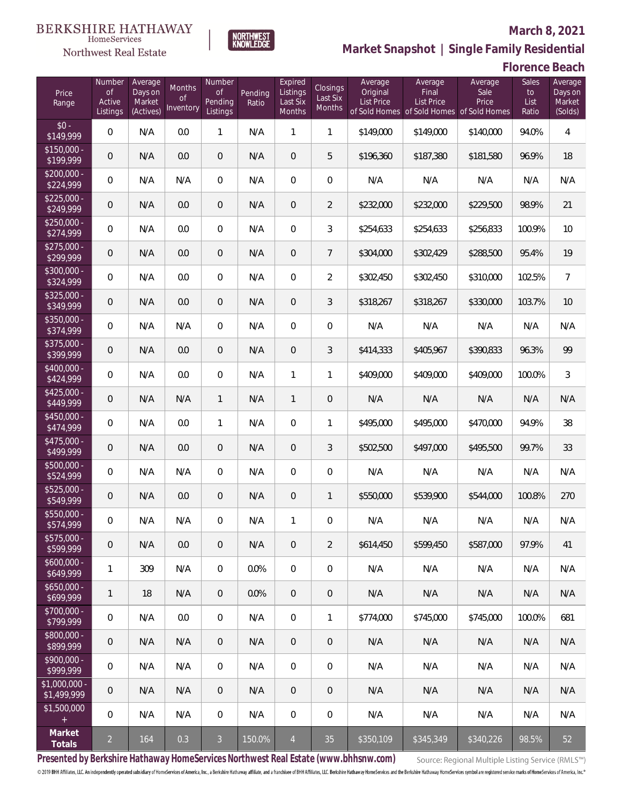

NORTHWEST<br>KNOWLEDGE

Northwest Real Estate

# **Market Snapshot | Single Family Residential**

**Florence Beach**

| Price<br>Range                | Number<br>of<br>Active<br>Listings | Average<br>Days on<br>Market<br>(Actives) | <b>Months</b><br>Οf<br>Inventory | Number<br><b>of</b><br>Pending<br>Listings | Pending<br>Ratio | Expired<br>Listings<br>Last Six<br>Months | Closings<br>Last Six<br>Months | Average<br>Original<br><b>List Price</b> | Average<br>Final<br>List Price<br>of Sold Homes of Sold Homes | Average<br>Sale<br>Price<br>of Sold Homes | Sales<br>to<br>List<br>Ratio | Average<br>Days on<br>Market<br>(Solds) |
|-------------------------------|------------------------------------|-------------------------------------------|----------------------------------|--------------------------------------------|------------------|-------------------------------------------|--------------------------------|------------------------------------------|---------------------------------------------------------------|-------------------------------------------|------------------------------|-----------------------------------------|
| $$0 -$<br>\$149,999           | $\overline{0}$                     | N/A                                       | 0.0                              | 1                                          | N/A              | 1                                         | 1                              | \$149,000                                | \$149,000                                                     | \$140,000                                 | 94.0%                        | 4                                       |
| $$150,000 -$<br>\$199,999     | $\overline{0}$                     | N/A                                       | 0.0                              | $\overline{0}$                             | N/A              | $\overline{0}$                            | 5                              | \$196,360                                | \$187,380                                                     | \$181,580                                 | 96.9%                        | 18                                      |
| $$200,000 -$<br>\$224,999     | $\overline{0}$                     | N/A                                       | N/A                              | $\overline{0}$                             | N/A              | $\overline{0}$                            | $\overline{0}$                 | N/A                                      | N/A                                                           | N/A                                       | N/A                          | N/A                                     |
| $$225,000 -$<br>\$249,999     | 0                                  | N/A                                       | 0.0                              | $\overline{0}$                             | N/A              | $\overline{0}$                            | $\overline{2}$                 | \$232,000                                | \$232,000                                                     | \$229,500                                 | 98.9%                        | 21                                      |
| $$250,000 -$<br>\$274,999     | $\overline{0}$                     | N/A                                       | 0.0                              | $\overline{0}$                             | N/A              | $\overline{0}$                            | 3                              | \$254,633                                | \$254,633                                                     | \$256,833                                 | 100.9%                       | 10                                      |
| $$275,000 -$<br>\$299,999     | 0                                  | N/A                                       | 0.0                              | $\overline{0}$                             | N/A              | $\overline{0}$                            | $7\overline{ }$                | \$304,000                                | \$302,429                                                     | \$288,500                                 | 95.4%                        | 19                                      |
| \$300,000 -<br>\$324,999      | $\overline{0}$                     | N/A                                       | 0.0                              | $\overline{0}$                             | N/A              | $\overline{0}$                            | $\overline{2}$                 | \$302,450                                | \$302,450                                                     | \$310,000                                 | 102.5%                       | $\overline{7}$                          |
| $$325,000 -$<br>\$349,999     | $\overline{0}$                     | N/A                                       | 0.0                              | $\overline{0}$                             | N/A              | $\overline{0}$                            | 3                              | \$318,267                                | \$318,267                                                     | \$330,000                                 | 103.7%                       | 10                                      |
| \$350,000 -<br>\$374,999      | $\overline{0}$                     | N/A                                       | N/A                              | $\overline{0}$                             | N/A              | $\overline{0}$                            | $\mathbf 0$                    | N/A                                      | N/A                                                           | N/A                                       | N/A                          | N/A                                     |
| \$375,000 -<br>\$399,999      | 0                                  | N/A                                       | 0.0                              | $\overline{0}$                             | N/A              | $\overline{0}$                            | 3                              | \$414,333                                | \$405,967                                                     | \$390,833                                 | 96.3%                        | 99                                      |
| \$400,000 -<br>\$424,999      | $\overline{0}$                     | N/A                                       | 0.0                              | $\overline{0}$                             | N/A              | $\mathbf{1}$                              | $\mathbf{1}$                   | \$409,000                                | \$409,000                                                     | \$409,000                                 | 100.0%                       | 3                                       |
| $$425,000 -$<br>\$449,999     | 0                                  | N/A                                       | N/A                              | $\mathbf{1}$                               | N/A              | $\mathbf{1}$                              | $\mathbf 0$                    | N/A                                      | N/A                                                           | N/A                                       | N/A                          | N/A                                     |
| $$450,000 -$<br>\$474,999     | $\overline{0}$                     | N/A                                       | 0.0                              | $\mathbf{1}$                               | N/A              | $\overline{0}$                            | $\mathbf{1}$                   | \$495,000                                | \$495,000                                                     | \$470,000                                 | 94.9%                        | 38                                      |
| $$475,000 -$<br>\$499,999     | 0                                  | N/A                                       | 0.0                              | $\overline{0}$                             | N/A              | $\overline{0}$                            | 3                              | \$502,500                                | \$497,000                                                     | \$495,500                                 | 99.7%                        | 33                                      |
| $$500,000 -$<br>\$524,999     | $\overline{0}$                     | N/A                                       | N/A                              | $\overline{0}$                             | N/A              | $\overline{0}$                            | $\mathbf 0$                    | N/A                                      | N/A                                                           | N/A                                       | N/A                          | N/A                                     |
| $$525,000 -$<br>\$549,999     | 0                                  | N/A                                       | 0.0                              | $\overline{0}$                             | N/A              | $\overline{0}$                            | $\mathbf{1}$                   | \$550,000                                | \$539,900                                                     | \$544,000                                 | 100.8%                       | 270                                     |
| \$550,000 -<br>\$574,999      | 0                                  | N/A                                       | N/A                              | 0                                          | N/A              | 1                                         | $\mathbf 0$                    | N/A                                      | N/A                                                           | N/A                                       | N/A                          | N/A                                     |
| $$575,000 -$<br>\$599,999     | 0                                  | N/A                                       | 0.0                              | $\overline{0}$                             | N/A              | $\overline{0}$                            | $\overline{2}$                 | \$614,450                                | \$599.450                                                     | \$587,000                                 | 97.9%                        | 41                                      |
| $$600,000 -$<br>\$649,999     | 1                                  | 309                                       | N/A                              | $\overline{0}$                             | 0.0%             | $\overline{0}$                            | 0                              | N/A                                      | N/A                                                           | N/A                                       | N/A                          | N/A                                     |
| $$650,000 -$<br>\$699,999     | 1                                  | 18                                        | N/A                              | $\overline{0}$                             | 0.0%             | $\overline{0}$                            | $\mathbf 0$                    | N/A                                      | N/A                                                           | N/A                                       | N/A                          | N/A                                     |
| $$700,000 -$<br>\$799,999     | $\mathbf 0$                        | N/A                                       | 0.0                              | $\mathbf 0$                                | N/A              | $\boldsymbol{0}$                          | 1                              | \$774,000                                | \$745,000                                                     | \$745,000                                 | 100.0%                       | 681                                     |
| $$800,000 -$<br>\$899,999     | $\overline{0}$                     | N/A                                       | N/A                              | $\overline{0}$                             | N/A              | $\overline{0}$                            | $\mathbf 0$                    | N/A                                      | N/A                                                           | N/A                                       | N/A                          | N/A                                     |
| $$900,000 -$<br>\$999,999     | $\mathbf 0$                        | N/A                                       | N/A                              | $\mathbf 0$                                | N/A              | $\boldsymbol{0}$                          | $\mathbf 0$                    | N/A                                      | N/A                                                           | N/A                                       | N/A                          | N/A                                     |
| $$1,000,000 -$<br>\$1,499,999 | $\overline{0}$                     | N/A                                       | N/A                              | $\overline{0}$                             | N/A              | $\overline{0}$                            | $\mathbf 0$                    | N/A                                      | N/A                                                           | N/A                                       | N/A                          | N/A                                     |
| \$1,500,000<br>$+$            | $\mathbf 0$                        | N/A                                       | N/A                              | $\mathbf 0$                                | N/A              | $\overline{0}$                            | 0                              | N/A                                      | N/A                                                           | N/A                                       | N/A                          | N/A                                     |
| Market<br>Totals              | $\overline{a}$                     | 164                                       | 0.3                              | $\overline{3}$                             | 150.0%           | $\overline{4}$                            | 35                             | \$350,109                                | \$345,349                                                     | \$340,226                                 | 98.5%                        | 52                                      |

**Presented by Berkshire Hathaway HomeServices Northwest Real Estate (www.bhhsnw.com)**

Source: Regional Multiple Listing Service (RMLS™)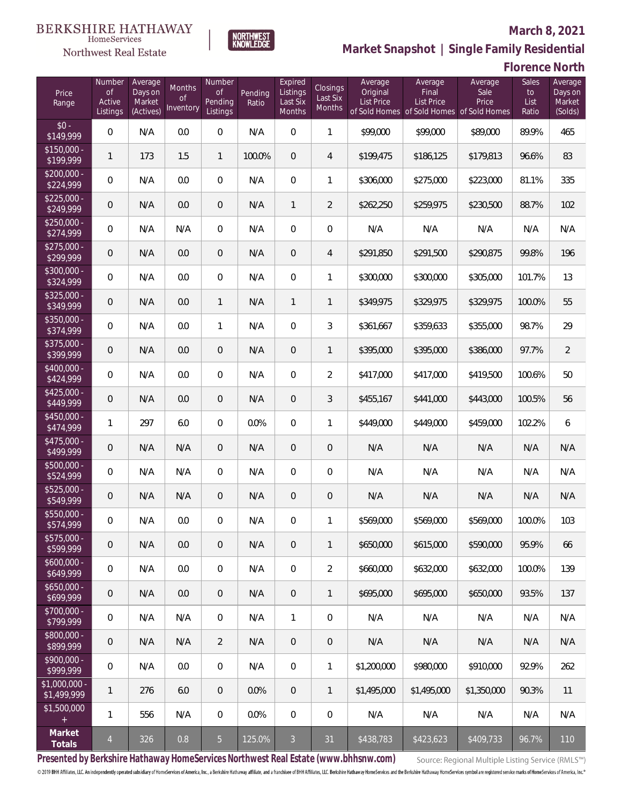

NORTHWEST<br>KNOWLEDGE

Northwest Real Estate

# **Market Snapshot | Single Family Residential**

| <b>Florence North</b> |  |
|-----------------------|--|
|-----------------------|--|

| Price<br>Range               | Number<br><b>of</b><br>Active<br>Listings | Average<br>Days on<br>Market<br>(Actives) | Months<br><b>of</b><br>Inventory | Number<br><b>of</b><br>Pending<br>Listings | Pending<br>Ratio | Expired<br>Listings<br>Last Six<br>Months | Closings<br>Last Six<br>Months | Average<br>Original<br><b>List Price</b> | Average<br>Final<br><b>List Price</b><br>of Sold Homes of Sold Homes of Sold Homes | Average<br>Sale<br>Price | Sales<br>to<br>List<br>Ratio | Average<br>Days on<br>Market<br>(Solds) |
|------------------------------|-------------------------------------------|-------------------------------------------|----------------------------------|--------------------------------------------|------------------|-------------------------------------------|--------------------------------|------------------------------------------|------------------------------------------------------------------------------------|--------------------------|------------------------------|-----------------------------------------|
| $$0 -$<br>\$149,999          | $\overline{0}$                            | N/A                                       | 0.0                              | $\overline{0}$                             | N/A              | $\overline{0}$                            | $\mathbf{1}$                   | \$99,000                                 | \$99,000                                                                           | \$89,000                 | 89.9%                        | 465                                     |
| $$150,000 -$<br>\$199,999    | $\mathbf{1}$                              | 173                                       | 1.5                              | $\mathbf{1}$                               | 100.0%           | $\overline{0}$                            | $\overline{4}$                 | \$199,475                                | \$186,125                                                                          | \$179,813                | 96.6%                        | 83                                      |
| $$200,000 -$<br>\$224,999    | 0                                         | N/A                                       | 0.0                              | $\overline{0}$                             | N/A              | $\overline{0}$                            | $\mathbf{1}$                   | \$306,000                                | \$275,000                                                                          | \$223,000                | 81.1%                        | 335                                     |
| $$225,000 -$<br>\$249,999    | 0                                         | N/A                                       | 0.0                              | $\overline{0}$                             | N/A              | $\mathbf{1}$                              | $\overline{2}$                 | \$262,250                                | \$259,975                                                                          | \$230,500                | 88.7%                        | 102                                     |
| $$250,000 -$<br>\$274,999    | 0                                         | N/A                                       | N/A                              | $\overline{0}$                             | N/A              | $\mathbf 0$                               | $\overline{0}$                 | N/A                                      | N/A                                                                                | N/A                      | N/A                          | N/A                                     |
| $$275,000 -$<br>\$299,999    | 0                                         | N/A                                       | 0.0                              | $\overline{0}$                             | N/A              | $\overline{0}$                            | $\overline{4}$                 | \$291,850                                | \$291,500                                                                          | \$290,875                | 99.8%                        | 196                                     |
| $$300,000 -$<br>\$324,999    | 0                                         | N/A                                       | 0.0                              | $\overline{0}$                             | N/A              | $\mathbf 0$                               | 1                              | \$300,000                                | \$300,000                                                                          | \$305,000                | 101.7%                       | 13                                      |
| $$325,000 -$<br>\$349,999    | 0                                         | N/A                                       | 0.0                              | $\mathbf{1}$                               | N/A              | $\mathbf{1}$                              | 1                              | \$349,975                                | \$329,975                                                                          | \$329,975                | 100.0%                       | 55                                      |
| $$350,000 -$<br>\$374,999    | 0                                         | N/A                                       | 0.0                              | $\mathbf{1}$                               | N/A              | $\mathbf 0$                               | 3                              | \$361,667                                | \$359,633                                                                          | \$355,000                | 98.7%                        | 29                                      |
| $$375,000 -$<br>\$399,999    | 0                                         | N/A                                       | 0.0                              | $\overline{0}$                             | N/A              | $\overline{0}$                            | $\mathbf{1}$                   | \$395,000                                | \$395,000                                                                          | \$386,000                | 97.7%                        | $\overline{2}$                          |
| $$400,000 -$<br>\$424,999    | 0                                         | N/A                                       | 0.0                              | $\mathbf 0$                                | N/A              | $\mathbf 0$                               | $\overline{2}$                 | \$417,000                                | \$417,000                                                                          | \$419,500                | 100.6%                       | 50                                      |
| $$425,000 -$<br>\$449,999    | 0                                         | N/A                                       | 0.0                              | $\overline{0}$                             | N/A              | $\overline{0}$                            | 3                              | \$455,167                                | \$441,000                                                                          | \$443,000                | 100.5%                       | 56                                      |
| $$450,000 -$<br>\$474,999    | $\mathbf{1}$                              | 297                                       | 6.0                              | $\overline{0}$                             | 0.0%             | $\mathbf 0$                               | 1                              | \$449,000                                | \$449,000                                                                          | \$459,000                | 102.2%                       | 6                                       |
| $$475,000 -$<br>\$499,999    | 0                                         | N/A                                       | N/A                              | $\overline{0}$                             | N/A              | $\overline{0}$                            | $\mathbf 0$                    | N/A                                      | N/A                                                                                | N/A                      | N/A                          | N/A                                     |
| \$500,000 -<br>\$524,999     | 0                                         | N/A                                       | N/A                              | $\overline{0}$                             | N/A              | $\overline{0}$                            | $\overline{0}$                 | N/A                                      | N/A                                                                                | N/A                      | N/A                          | N/A                                     |
| \$525,000 -<br>\$549,999     | 0                                         | N/A                                       | N/A                              | $\overline{0}$                             | N/A              | $\overline{0}$                            | $\mathbf 0$                    | N/A                                      | N/A                                                                                | N/A                      | N/A                          | N/A                                     |
| \$550,000 -<br>\$574,999     | 0                                         | N/A                                       | 0.0                              | $\overline{0}$                             | N/A              | $\overline{0}$                            | 1                              | \$569,000                                | \$569,000                                                                          | \$569,000                | 100.0%                       | 103                                     |
| \$575,000 -<br>\$599,999     | 0                                         | N/A                                       | 0.0                              | $\mathbf 0$                                | N/A              | $\mathbf 0$                               | $\mathbf{1}$                   | \$650,000                                | \$615,000                                                                          | \$590,000                | 95.9%                        | 66                                      |
| $$600,000 -$<br>\$649,999    | $\boldsymbol{0}$                          | N/A                                       | 0.0                              | $\mathbf 0$                                | N/A              | $\mathbf 0$                               | $\overline{2}$                 | \$660,000                                | \$632,000                                                                          | \$632,000                | 100.0%                       | 139                                     |
| \$650,000 -<br>\$699,999     | $\boldsymbol{0}$                          | N/A                                       | 0.0                              | $\overline{0}$                             | N/A              | $\overline{0}$                            | $\mathbf{1}$                   | \$695,000                                | \$695,000                                                                          | \$650,000                | 93.5%                        | 137                                     |
| \$700,000 -<br>\$799,999     | 0                                         | N/A                                       | N/A                              | $\overline{0}$                             | N/A              | $\mathbf{1}$                              | 0                              | N/A                                      | N/A                                                                                | N/A                      | N/A                          | N/A                                     |
| \$800,000 -<br>\$899,999     | $\boldsymbol{0}$                          | N/A                                       | N/A                              | $\overline{2}$                             | N/A              | $\overline{0}$                            | 0                              | N/A                                      | N/A                                                                                | N/A                      | N/A                          | N/A                                     |
| $$900,000 -$<br>\$999,999    | 0                                         | N/A                                       | 0.0                              | $\overline{0}$                             | N/A              | $\mathbf 0$                               | 1                              | \$1,200,000                              | \$980,000                                                                          | \$910,000                | 92.9%                        | 262                                     |
| \$1,000,000 -<br>\$1,499,999 | 1                                         | 276                                       | 6.0                              | $\overline{0}$                             | 0.0%             | $\overline{0}$                            | $\mathbf{1}$                   | \$1,495,000                              | \$1,495,000                                                                        | \$1,350,000              | 90.3%                        | 11                                      |
| \$1,500,000<br>$\pm$         | 1                                         | 556                                       | N/A                              | $\overline{0}$                             | 0.0%             | $\mathbf 0$                               | 0                              | N/A                                      | N/A                                                                                | N/A                      | N/A                          | N/A                                     |
| Market<br>Totals             | $\overline{4}$                            | 326                                       | 0.8                              | 5 <sub>5</sub>                             | 125.0%           | $\overline{3}$                            | 31                             | \$438,783                                | \$423,623                                                                          | \$409,733                | 96.7%                        | 110                                     |

**Presented by Berkshire Hathaway HomeServices Northwest Real Estate (www.bhhsnw.com)**

Source: Regional Multiple Listing Service (RMLS™)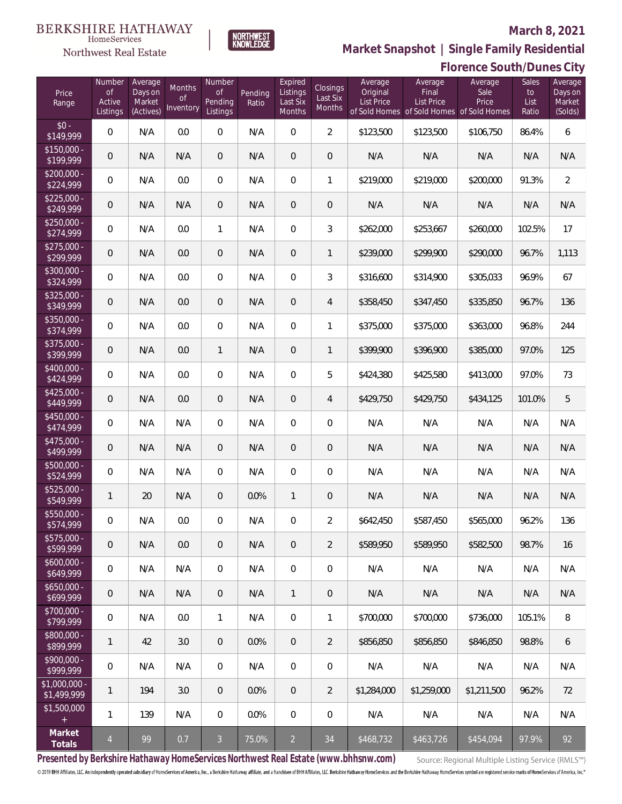#### **BERKSHIRE HATHAWAY**  $\label{lem:sevices} \textsc{Home} \textsc{Service} \textsc{s}$

Northwest Real Estate

### **March 8, 2021**



**Market Snapshot | Single Family Residential**

|                               | Florence South/Dunes City                 |                                           |                                  |                                            |                  |                                           |                                |                                          |                                                                                    |                          |                              |                                         |
|-------------------------------|-------------------------------------------|-------------------------------------------|----------------------------------|--------------------------------------------|------------------|-------------------------------------------|--------------------------------|------------------------------------------|------------------------------------------------------------------------------------|--------------------------|------------------------------|-----------------------------------------|
| Price<br>Range                | Number<br><b>of</b><br>Active<br>Listings | Average<br>Days on<br>Market<br>(Actives) | Months<br><b>of</b><br>Inventory | Number<br><b>of</b><br>Pending<br>Listings | Pending<br>Ratio | Expired<br>Listings<br>Last Six<br>Months | Closings<br>Last Six<br>Months | Average<br>Original<br><b>List Price</b> | Average<br>Final<br><b>List Price</b><br>of Sold Homes of Sold Homes of Sold Homes | Average<br>Sale<br>Price | Sales<br>to<br>List<br>Ratio | Average<br>Days on<br>Market<br>(Solds) |
| $$0 -$<br>\$149,999           | 0                                         | N/A                                       | 0.0                              | $\mathbf 0$                                | N/A              | $\mathbf 0$                               | $\overline{a}$                 | \$123,500                                | \$123,500                                                                          | \$106,750                | 86.4%                        | $\boldsymbol{6}$                        |
| $$150,000 -$<br>\$199,999     | $\mathbf 0$                               | N/A                                       | N/A                              | $\theta$                                   | N/A              | $\boldsymbol{0}$                          | $\mathbf 0$                    | N/A                                      | N/A                                                                                | N/A                      | N/A                          | N/A                                     |
| $$200,000 -$<br>\$224,999     | 0                                         | N/A                                       | 0.0                              | $\mathbf 0$                                | N/A              | $\mathbf 0$                               | 1                              | \$219,000                                | \$219,000                                                                          | \$200,000                | 91.3%                        | $\overline{2}$                          |
| $$225,000 -$<br>\$249,999     | $\mathbf 0$                               | N/A                                       | N/A                              | $\overline{0}$                             | N/A              | $\boldsymbol{0}$                          | $\boldsymbol{0}$               | N/A                                      | N/A                                                                                | N/A                      | N/A                          | N/A                                     |
| $$250,000 -$<br>\$274,999     | 0                                         | N/A                                       | 0.0                              | $\mathbf{1}$                               | N/A              | $\mathbf 0$                               | 3                              | \$262,000                                | \$253,667                                                                          | \$260,000                | 102.5%                       | 17                                      |
| $$275,000 -$<br>\$299,999     | $\mathbf 0$                               | N/A                                       | 0.0                              | $\overline{0}$                             | N/A              | $\mathbf 0$                               | 1                              | \$239,000                                | \$299,900                                                                          | \$290,000                | 96.7%                        | 1,113                                   |
| \$300,000 -<br>\$324,999      | 0                                         | N/A                                       | 0.0                              | $\mathbf 0$                                | N/A              | $\mathbf 0$                               | 3                              | \$316,600                                | \$314,900                                                                          | \$305,033                | 96.9%                        | 67                                      |
| $$325,000 -$<br>\$349,999     | 0                                         | N/A                                       | 0.0                              | $\overline{0}$                             | N/A              | $\mathbf 0$                               | 4                              | \$358,450                                | \$347,450                                                                          | \$335,850                | 96.7%                        | 136                                     |
| \$350,000 -<br>\$374,999      | 0                                         | N/A                                       | 0.0                              | $\overline{0}$                             | N/A              | $\mathbf 0$                               | 1                              | \$375,000                                | \$375,000                                                                          | \$363,000                | 96.8%                        | 244                                     |
| \$375,000 -<br>\$399,999      | $\mathbf 0$                               | N/A                                       | 0.0                              | $\mathbf{1}$                               | N/A              | $\boldsymbol{0}$                          | 1                              | \$399,900                                | \$396,900                                                                          | \$385,000                | 97.0%                        | 125                                     |
| \$400,000 -<br>\$424,999      | 0                                         | N/A                                       | 0.0                              | $\overline{0}$                             | N/A              | $\mathbf 0$                               | 5                              | \$424,380                                | \$425,580                                                                          | \$413,000                | 97.0%                        | 73                                      |
| $$425,000 -$<br>\$449,999     | $\mathbf 0$                               | N/A                                       | 0.0                              | $\overline{0}$                             | N/A              | $\overline{0}$                            | 4                              | \$429,750                                | \$429,750                                                                          | \$434,125                | 101.0%                       | 5                                       |
| $$450,000 -$<br>\$474,999     | 0                                         | N/A                                       | N/A                              | $\overline{0}$                             | N/A              | $\mathbf 0$                               | $\mathbf 0$                    | N/A                                      | N/A                                                                                | N/A                      | N/A                          | N/A                                     |
| $$475,000 -$<br>\$499,999     | $\mathbf 0$                               | N/A                                       | N/A                              | $\overline{0}$                             | N/A              | $\overline{0}$                            | $\theta$                       | N/A                                      | N/A                                                                                | N/A                      | N/A                          | N/A                                     |
| $$500,000 -$<br>\$524,999     | 0                                         | N/A                                       | N/A                              | $\overline{0}$                             | N/A              | $\overline{0}$                            | 0                              | N/A                                      | N/A                                                                                | N/A                      | N/A                          | N/A                                     |
| $$525,000 -$<br>\$549,999     | 1                                         | 20                                        | N/A                              | $\overline{0}$                             | 0.0%             | 1                                         | $\theta$                       | N/A                                      | N/A                                                                                | N/A                      | N/A                          | N/A                                     |
| \$550,000 -<br>\$574,999      | 0                                         | N/A                                       | 0.0                              | $\overline{0}$                             | N/A              | $\mathbf{0}$                              | 2                              | \$642,450                                | \$587,450                                                                          | \$565,000                | 96.2%                        | 136                                     |
| \$575,000 -<br>\$599,999      | $\mathbf 0$                               | N/A                                       | 0.0                              | $\overline{0}$                             | N/A              | $\mathbf{0}$                              | $\overline{2}$                 | \$589,950                                | \$589,950                                                                          | \$582,500                | 98.7%                        | 16                                      |
| $$600,000 -$<br>\$649,999     | 0                                         | N/A                                       | N/A                              | $\overline{0}$                             | N/A              | $\mathbf 0$                               | 0                              | N/A                                      | N/A                                                                                | N/A                      | N/A                          | N/A                                     |
| $$650,000 -$<br>\$699,999     | 0                                         | N/A                                       | N/A                              | $\overline{0}$                             | N/A              | $\mathbf{1}$                              | $\overline{0}$                 | N/A                                      | N/A                                                                                | N/A                      | N/A                          | N/A                                     |
| $$700,000 -$<br>\$799,999     | 0                                         | N/A                                       | 0.0                              | $\mathbf{1}$                               | N/A              | $\mathbf 0$                               | 1                              | \$700,000                                | \$700,000                                                                          | \$736,000                | 105.1%                       | 8                                       |
| \$800,000 -<br>\$899,999      | $\mathbf{1}$                              | 42                                        | 3.0                              | $\overline{0}$                             | 0.0%             | $\mathbf{0}$                              | $\overline{2}$                 | \$856,850                                | \$856,850                                                                          | \$846,850                | 98.8%                        | 6                                       |
| \$900.000 -<br>\$999,999      | 0                                         | N/A                                       | N/A                              | $\overline{0}$                             | N/A              | $\mathbf 0$                               | 0                              | N/A                                      | N/A                                                                                | N/A                      | N/A                          | N/A                                     |
| $$1,000,000 -$<br>\$1,499,999 | 1                                         | 194                                       | 3.0                              | $\overline{0}$                             | $0.0\%$          | $\mathbf{0}$                              | $\overline{2}$                 | \$1,284,000                              | \$1,259,000                                                                        | \$1,211,500              | 96.2%                        | 72                                      |
| \$1,500,000                   | 1                                         | 139                                       | N/A                              | $\overline{0}$                             | $0.0\%$          | $\mathbf 0$                               | 0                              | N/A                                      | N/A                                                                                | N/A                      | N/A                          | N/A                                     |
| Market<br>Totals              | $\overline{4}$                            | 99                                        | 0.7                              | $\mathbf{3}$                               | 75.0%            | $\overline{2}$                            | 34                             | \$468,732                                | \$463,726                                                                          | \$454,094                | 97.9%                        | 92                                      |

**Presented by Berkshire Hathaway HomeServices Northwest Real Estate (www.bhhsnw.com)**

Source: Regional Multiple Listing Service (RMLS™)